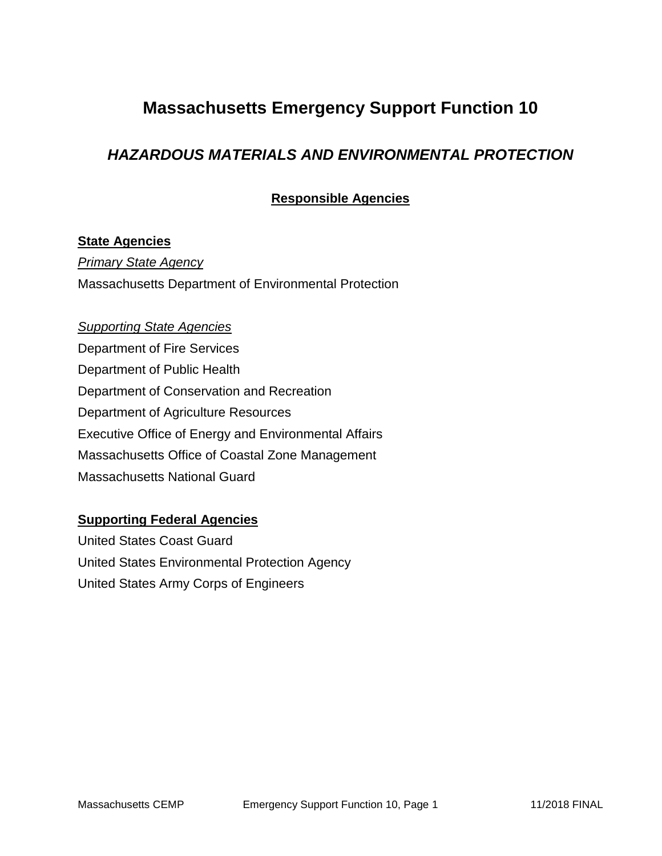## **Massachusetts Emergency Support Function 10**

### *HAZARDOUS MATERIALS AND ENVIRONMENTAL PROTECTION*

**Responsible Agencies**

#### **State Agencies**

*Primary State Agency* Massachusetts Department of Environmental Protection

#### *Supporting State Agencies*

Department of Fire Services Department of Public Health Department of Conservation and Recreation Department of Agriculture Resources Executive Office of Energy and Environmental Affairs Massachusetts Office of Coastal Zone Management Massachusetts National Guard

#### **Supporting Federal Agencies**

United States Coast Guard United States Environmental Protection Agency United States Army Corps of Engineers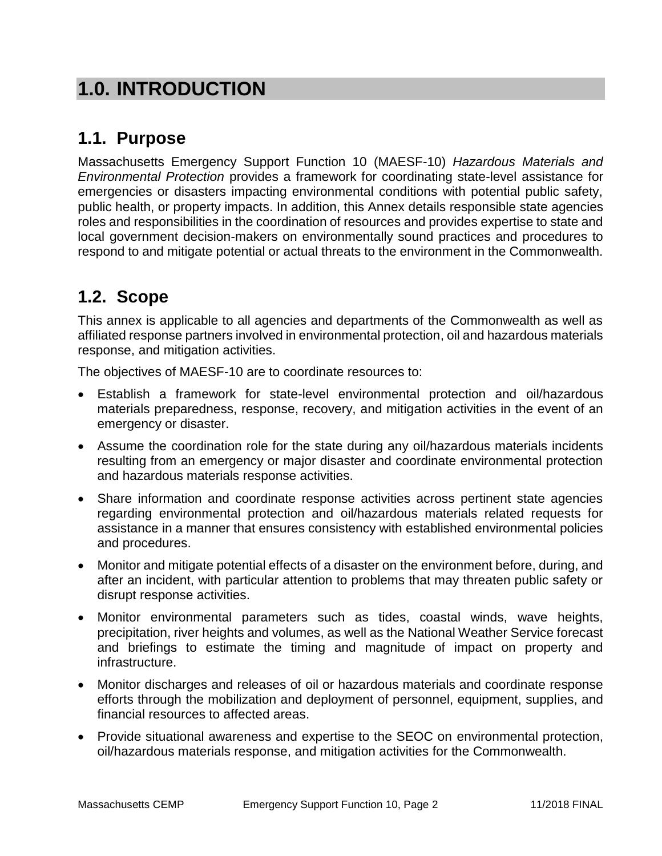# **1.0. INTRODUCTION**

## **1.1. Purpose**

Massachusetts Emergency Support Function 10 (MAESF-10) *Hazardous Materials and Environmental Protection* provides a framework for coordinating state-level assistance for emergencies or disasters impacting environmental conditions with potential public safety, public health, or property impacts. In addition, this Annex details responsible state agencies roles and responsibilities in the coordination of resources and provides expertise to state and local government decision-makers on environmentally sound practices and procedures to respond to and mitigate potential or actual threats to the environment in the Commonwealth.

# **1.2. Scope**

This annex is applicable to all agencies and departments of the Commonwealth as well as affiliated response partners involved in environmental protection, oil and hazardous materials response, and mitigation activities.

The objectives of MAESF-10 are to coordinate resources to:

- Establish a framework for state-level environmental protection and oil/hazardous materials preparedness, response, recovery, and mitigation activities in the event of an emergency or disaster.
- Assume the coordination role for the state during any oil/hazardous materials incidents resulting from an emergency or major disaster and coordinate environmental protection and hazardous materials response activities.
- Share information and coordinate response activities across pertinent state agencies regarding environmental protection and oil/hazardous materials related requests for assistance in a manner that ensures consistency with established environmental policies and procedures.
- Monitor and mitigate potential effects of a disaster on the environment before, during, and after an incident, with particular attention to problems that may threaten public safety or disrupt response activities.
- Monitor environmental parameters such as tides, coastal winds, wave heights, precipitation, river heights and volumes, as well as the National Weather Service forecast and briefings to estimate the timing and magnitude of impact on property and infrastructure.
- Monitor discharges and releases of oil or hazardous materials and coordinate response efforts through the mobilization and deployment of personnel, equipment, supplies, and financial resources to affected areas.
- Provide situational awareness and expertise to the SEOC on environmental protection, oil/hazardous materials response, and mitigation activities for the Commonwealth.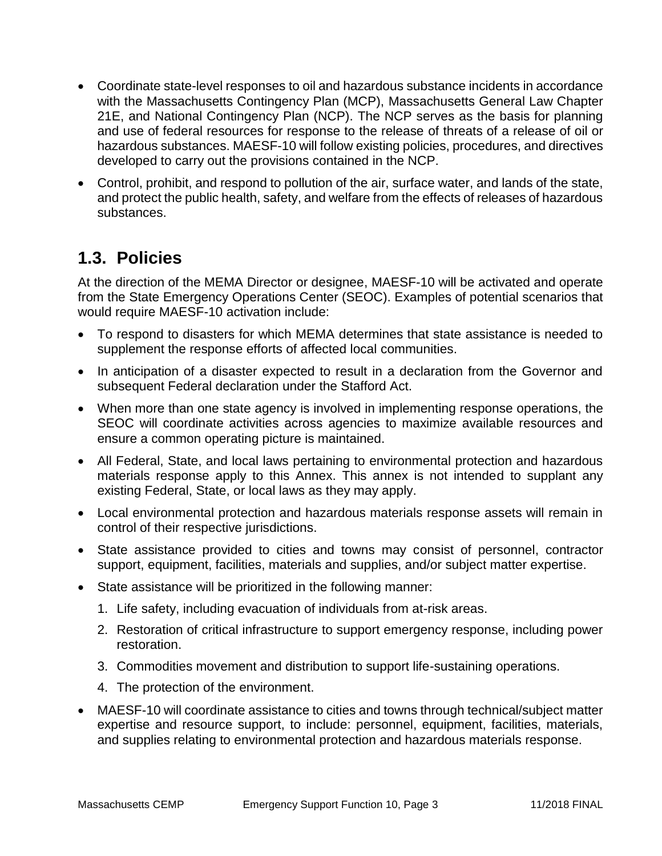- Coordinate state-level responses to oil and hazardous substance incidents in accordance with the Massachusetts Contingency Plan (MCP), Massachusetts General Law Chapter 21E, and National Contingency Plan (NCP). The NCP serves as the basis for planning and use of federal resources for response to the release of threats of a release of oil or hazardous substances. MAESF-10 will follow existing policies, procedures, and directives developed to carry out the provisions contained in the NCP.
- Control, prohibit, and respond to pollution of the air, surface water, and lands of the state, and protect the public health, safety, and welfare from the effects of releases of hazardous substances.

### **1.3. Policies**

At the direction of the MEMA Director or designee, MAESF-10 will be activated and operate from the State Emergency Operations Center (SEOC). Examples of potential scenarios that would require MAESF-10 activation include:

- To respond to disasters for which MEMA determines that state assistance is needed to supplement the response efforts of affected local communities.
- In anticipation of a disaster expected to result in a declaration from the Governor and subsequent Federal declaration under the Stafford Act.
- When more than one state agency is involved in implementing response operations, the SEOC will coordinate activities across agencies to maximize available resources and ensure a common operating picture is maintained.
- All Federal, State, and local laws pertaining to environmental protection and hazardous materials response apply to this Annex. This annex is not intended to supplant any existing Federal, State, or local laws as they may apply.
- Local environmental protection and hazardous materials response assets will remain in control of their respective jurisdictions.
- State assistance provided to cities and towns may consist of personnel, contractor support, equipment, facilities, materials and supplies, and/or subject matter expertise.
- State assistance will be prioritized in the following manner:
	- 1. Life safety, including evacuation of individuals from at-risk areas.
	- 2. Restoration of critical infrastructure to support emergency response, including power restoration.
	- 3. Commodities movement and distribution to support life-sustaining operations.
	- 4. The protection of the environment.
- MAESF-10 will coordinate assistance to cities and towns through technical/subject matter expertise and resource support, to include: personnel, equipment, facilities, materials, and supplies relating to environmental protection and hazardous materials response.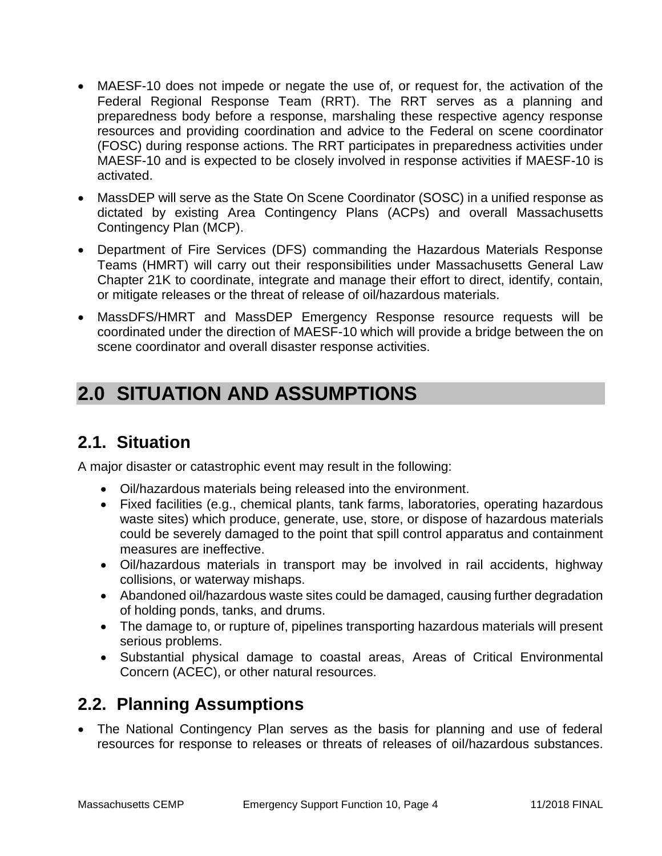- MAESF-10 does not impede or negate the use of, or request for, the activation of the Federal Regional Response Team (RRT). The RRT serves as a planning and preparedness body before a response, marshaling these respective agency response resources and providing coordination and advice to the Federal on scene coordinator (FOSC) during response actions. The RRT participates in preparedness activities under MAESF-10 and is expected to be closely involved in response activities if MAESF-10 is activated.
- MassDEP will serve as the State On Scene Coordinator (SOSC) in a unified response as dictated by existing Area Contingency Plans (ACPs) and overall Massachusetts Contingency Plan (MCP).
- Department of Fire Services (DFS) commanding the Hazardous Materials Response Teams (HMRT) will carry out their responsibilities under Massachusetts General Law Chapter 21K to coordinate, integrate and manage their effort to direct, identify, contain, or mitigate releases or the threat of release of oil/hazardous materials.
- MassDFS/HMRT and MassDEP Emergency Response resource requests will be coordinated under the direction of MAESF-10 which will provide a bridge between the on scene coordinator and overall disaster response activities.

# **2.0 SITUATION AND ASSUMPTIONS**

## **2.1. Situation**

A major disaster or catastrophic event may result in the following:

- Oil/hazardous materials being released into the environment.
- Fixed facilities (e.g., chemical plants, tank farms, laboratories, operating hazardous waste sites) which produce, generate, use, store, or dispose of hazardous materials could be severely damaged to the point that spill control apparatus and containment measures are ineffective.
- Oil/hazardous materials in transport may be involved in rail accidents, highway collisions, or waterway mishaps.
- Abandoned oil/hazardous waste sites could be damaged, causing further degradation of holding ponds, tanks, and drums.
- The damage to, or rupture of, pipelines transporting hazardous materials will present serious problems.
- Substantial physical damage to coastal areas, Areas of Critical Environmental Concern (ACEC), or other natural resources.

## **2.2. Planning Assumptions**

 The National Contingency Plan serves as the basis for planning and use of federal resources for response to releases or threats of releases of oil/hazardous substances.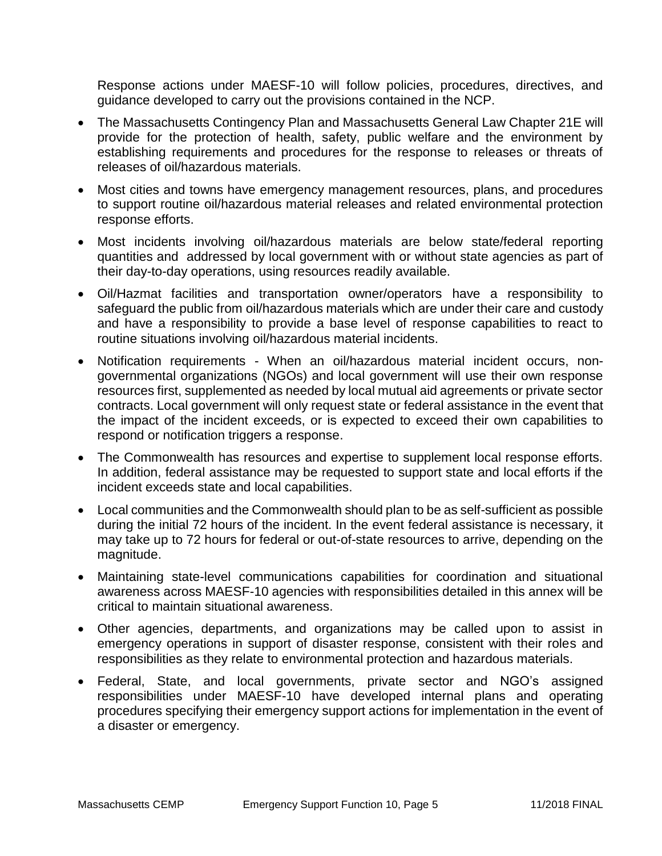Response actions under MAESF-10 will follow policies, procedures, directives, and guidance developed to carry out the provisions contained in the NCP.

- The Massachusetts Contingency Plan and Massachusetts General Law Chapter 21E will provide for the protection of health, safety, public welfare and the environment by establishing requirements and procedures for the response to releases or threats of releases of oil/hazardous materials.
- Most cities and towns have emergency management resources, plans, and procedures to support routine oil/hazardous material releases and related environmental protection response efforts.
- Most incidents involving oil/hazardous materials are below state/federal reporting quantities and addressed by local government with or without state agencies as part of their day-to-day operations, using resources readily available.
- Oil/Hazmat facilities and transportation owner/operators have a responsibility to safeguard the public from oil/hazardous materials which are under their care and custody and have a responsibility to provide a base level of response capabilities to react to routine situations involving oil/hazardous material incidents.
- Notification requirements When an oil/hazardous material incident occurs, nongovernmental organizations (NGOs) and local government will use their own response resources first, supplemented as needed by local mutual aid agreements or private sector contracts. Local government will only request state or federal assistance in the event that the impact of the incident exceeds, or is expected to exceed their own capabilities to respond or notification triggers a response.
- The Commonwealth has resources and expertise to supplement local response efforts. In addition, federal assistance may be requested to support state and local efforts if the incident exceeds state and local capabilities.
- Local communities and the Commonwealth should plan to be as self-sufficient as possible during the initial 72 hours of the incident. In the event federal assistance is necessary, it may take up to 72 hours for federal or out-of-state resources to arrive, depending on the magnitude.
- Maintaining state-level communications capabilities for coordination and situational awareness across MAESF-10 agencies with responsibilities detailed in this annex will be critical to maintain situational awareness.
- Other agencies, departments, and organizations may be called upon to assist in emergency operations in support of disaster response, consistent with their roles and responsibilities as they relate to environmental protection and hazardous materials.
- Federal, State, and local governments, private sector and NGO's assigned responsibilities under MAESF-10 have developed internal plans and operating procedures specifying their emergency support actions for implementation in the event of a disaster or emergency.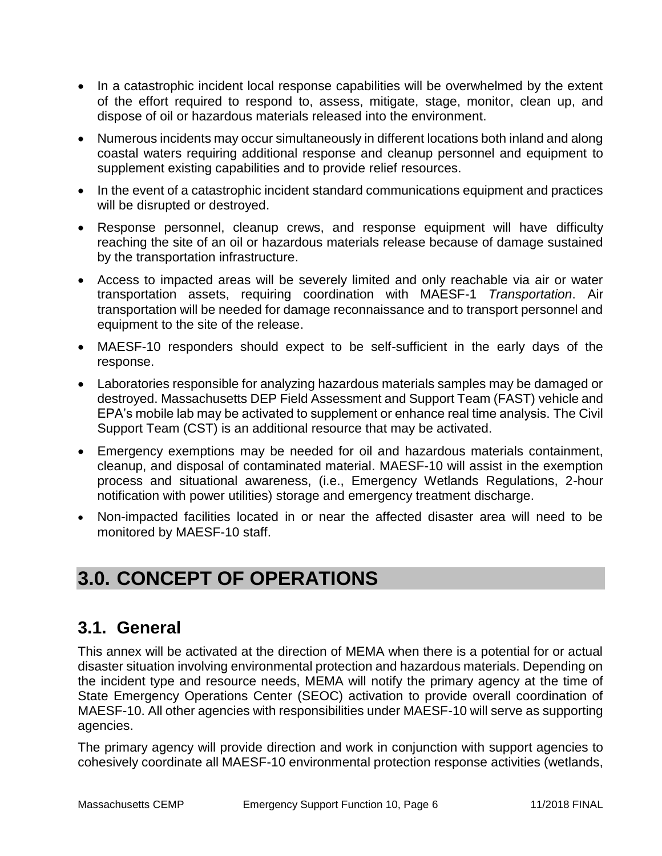- In a catastrophic incident local response capabilities will be overwhelmed by the extent of the effort required to respond to, assess, mitigate, stage, monitor, clean up, and dispose of oil or hazardous materials released into the environment.
- Numerous incidents may occur simultaneously in different locations both inland and along coastal waters requiring additional response and cleanup personnel and equipment to supplement existing capabilities and to provide relief resources.
- In the event of a catastrophic incident standard communications equipment and practices will be disrupted or destroyed.
- Response personnel, cleanup crews, and response equipment will have difficulty reaching the site of an oil or hazardous materials release because of damage sustained by the transportation infrastructure.
- Access to impacted areas will be severely limited and only reachable via air or water transportation assets, requiring coordination with MAESF-1 *Transportation*. Air transportation will be needed for damage reconnaissance and to transport personnel and equipment to the site of the release.
- MAESF-10 responders should expect to be self-sufficient in the early days of the response.
- Laboratories responsible for analyzing hazardous materials samples may be damaged or destroyed. Massachusetts DEP Field Assessment and Support Team (FAST) vehicle and EPA's mobile lab may be activated to supplement or enhance real time analysis. The Civil Support Team (CST) is an additional resource that may be activated.
- Emergency exemptions may be needed for oil and hazardous materials containment, cleanup, and disposal of contaminated material. MAESF-10 will assist in the exemption process and situational awareness, (i.e., Emergency Wetlands Regulations, 2-hour notification with power utilities) storage and emergency treatment discharge.
- Non-impacted facilities located in or near the affected disaster area will need to be monitored by MAESF-10 staff.

# **3.0. CONCEPT OF OPERATIONS**

## **3.1. General**

This annex will be activated at the direction of MEMA when there is a potential for or actual disaster situation involving environmental protection and hazardous materials. Depending on the incident type and resource needs, MEMA will notify the primary agency at the time of State Emergency Operations Center (SEOC) activation to provide overall coordination of MAESF-10. All other agencies with responsibilities under MAESF-10 will serve as supporting agencies.

The primary agency will provide direction and work in conjunction with support agencies to cohesively coordinate all MAESF-10 environmental protection response activities (wetlands,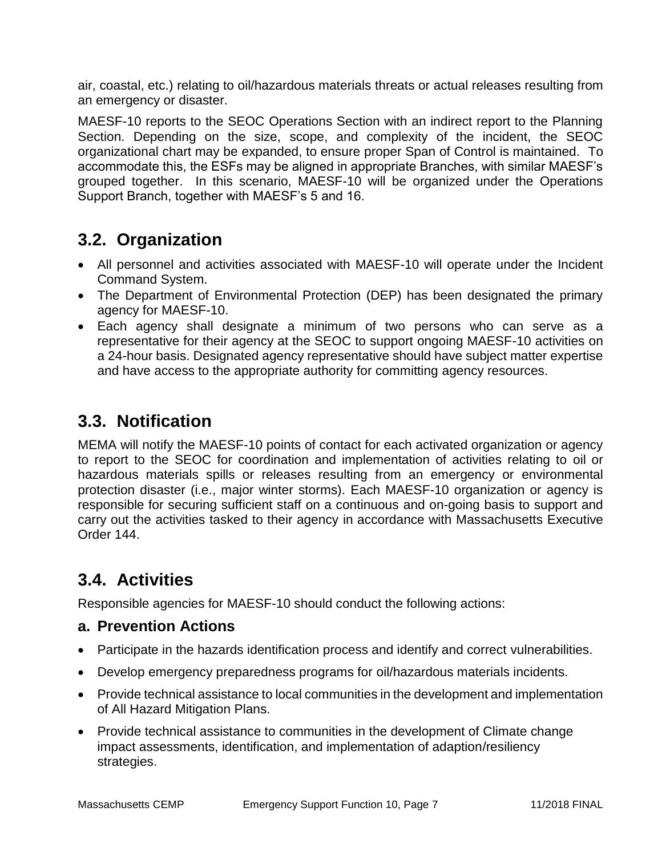air, coastal, etc.) relating to oil/hazardous materials threats or actual releases resulting from an emergency or disaster.

MAESF-10 reports to the SEOC Operations Section with an indirect report to the Planning Section. Depending on the size, scope, and complexity of the incident, the SEOC organizational chart may be expanded, to ensure proper Span of Control is maintained. To accommodate this, the ESFs may be aligned in appropriate Branches, with similar MAESF's grouped together. In this scenario, MAESF-10 will be organized under the Operations Support Branch, together with MAESF's 5 and 16.

## **3.2. Organization**

- All personnel and activities associated with MAESF-10 will operate under the Incident Command System.
- The Department of Environmental Protection (DEP) has been designated the primary agency for MAESF-10.
- Each agency shall designate a minimum of two persons who can serve as a representative for their agency at the SEOC to support ongoing MAESF-10 activities on a 24-hour basis. Designated agency representative should have subject matter expertise and have access to the appropriate authority for committing agency resources.

## **3.3. Notification**

MEMA will notify the MAESF-10 points of contact for each activated organization or agency to report to the SEOC for coordination and implementation of activities relating to oil or hazardous materials spills or releases resulting from an emergency or environmental protection disaster (i.e., major winter storms). Each MAESF-10 organization or agency is responsible for securing sufficient staff on a continuous and on-going basis to support and carry out the activities tasked to their agency in accordance with Massachusetts Executive Order 144.

# **3.4. Activities**

Responsible agencies for MAESF-10 should conduct the following actions:

#### **a. Prevention Actions**

- Participate in the hazards identification process and identify and correct vulnerabilities.
- Develop emergency preparedness programs for oil/hazardous materials incidents.
- Provide technical assistance to local communities in the development and implementation of All Hazard Mitigation Plans.
- Provide technical assistance to communities in the development of Climate change impact assessments, identification, and implementation of adaption/resiliency strategies.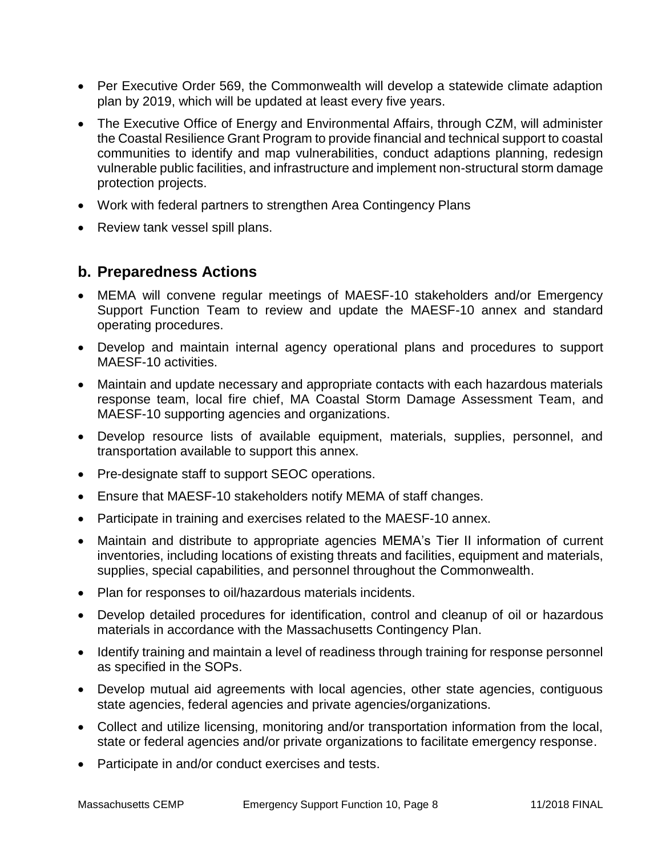- Per Executive Order 569, the Commonwealth will develop a statewide climate adaption plan by 2019, which will be updated at least every five years.
- The Executive Office of Energy and Environmental Affairs, through CZM, will administer the Coastal Resilience Grant Program to provide financial and technical support to coastal communities to identify and map vulnerabilities, conduct adaptions planning, redesign vulnerable public facilities, and infrastructure and implement non-structural storm damage protection projects.
- Work with federal partners to strengthen Area Contingency Plans
- Review tank vessel spill plans.

#### **b. Preparedness Actions**

- MEMA will convene regular meetings of MAESF-10 stakeholders and/or Emergency Support Function Team to review and update the MAESF-10 annex and standard operating procedures.
- Develop and maintain internal agency operational plans and procedures to support MAESF-10 activities.
- Maintain and update necessary and appropriate contacts with each hazardous materials response team, local fire chief, MA Coastal Storm Damage Assessment Team, and MAESF-10 supporting agencies and organizations.
- Develop resource lists of available equipment, materials, supplies, personnel, and transportation available to support this annex.
- Pre-designate staff to support SEOC operations.
- Ensure that MAESF-10 stakeholders notify MEMA of staff changes.
- Participate in training and exercises related to the MAESF-10 annex.
- Maintain and distribute to appropriate agencies MEMA's Tier II information of current inventories, including locations of existing threats and facilities, equipment and materials, supplies, special capabilities, and personnel throughout the Commonwealth.
- Plan for responses to oil/hazardous materials incidents.
- Develop detailed procedures for identification, control and cleanup of oil or hazardous materials in accordance with the Massachusetts Contingency Plan.
- Identify training and maintain a level of readiness through training for response personnel as specified in the SOPs.
- Develop mutual aid agreements with local agencies, other state agencies, contiguous state agencies, federal agencies and private agencies/organizations.
- Collect and utilize licensing, monitoring and/or transportation information from the local, state or federal agencies and/or private organizations to facilitate emergency response.
- Participate in and/or conduct exercises and tests.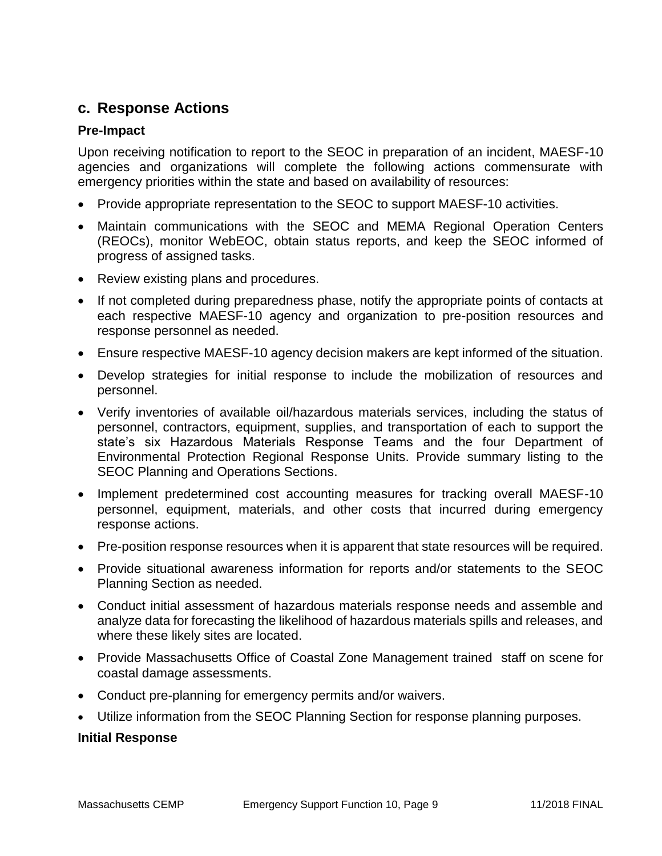#### **c. Response Actions**

#### **Pre-Impact**

Upon receiving notification to report to the SEOC in preparation of an incident, MAESF-10 agencies and organizations will complete the following actions commensurate with emergency priorities within the state and based on availability of resources:

- Provide appropriate representation to the SEOC to support MAESF-10 activities.
- Maintain communications with the SEOC and MEMA Regional Operation Centers (REOCs), monitor WebEOC, obtain status reports, and keep the SEOC informed of progress of assigned tasks.
- Review existing plans and procedures.
- If not completed during preparedness phase, notify the appropriate points of contacts at each respective MAESF-10 agency and organization to pre-position resources and response personnel as needed.
- Ensure respective MAESF-10 agency decision makers are kept informed of the situation.
- Develop strategies for initial response to include the mobilization of resources and personnel.
- Verify inventories of available oil/hazardous materials services, including the status of personnel, contractors, equipment, supplies, and transportation of each to support the state's six Hazardous Materials Response Teams and the four Department of Environmental Protection Regional Response Units. Provide summary listing to the SEOC Planning and Operations Sections.
- Implement predetermined cost accounting measures for tracking overall MAESF-10 personnel, equipment, materials, and other costs that incurred during emergency response actions.
- Pre-position response resources when it is apparent that state resources will be required.
- Provide situational awareness information for reports and/or statements to the SEOC Planning Section as needed.
- Conduct initial assessment of hazardous materials response needs and assemble and analyze data for forecasting the likelihood of hazardous materials spills and releases, and where these likely sites are located.
- Provide Massachusetts Office of Coastal Zone Management trained staff on scene for coastal damage assessments.
- Conduct pre-planning for emergency permits and/or waivers.
- Utilize information from the SEOC Planning Section for response planning purposes.

#### **Initial Response**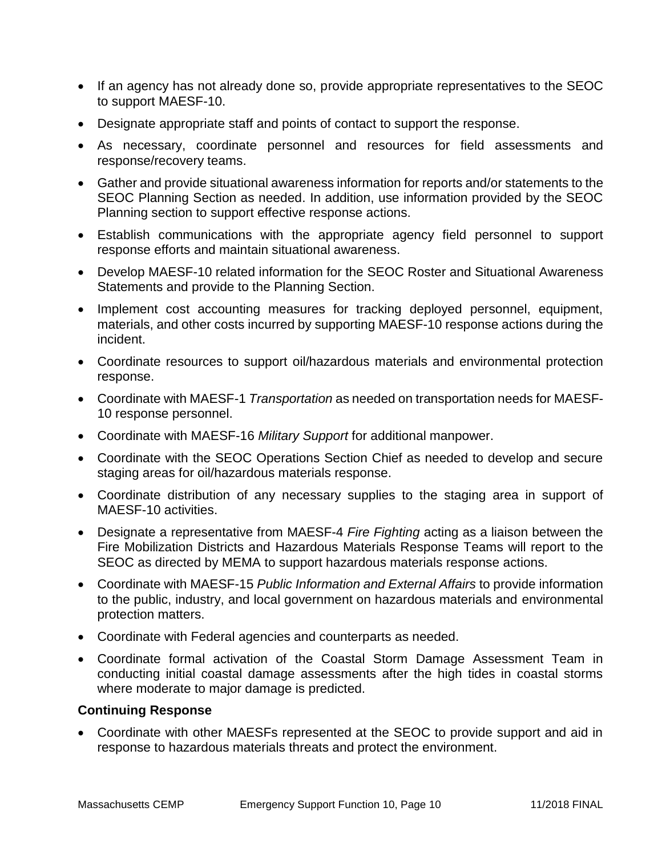- If an agency has not already done so, provide appropriate representatives to the SEOC to support MAESF-10.
- Designate appropriate staff and points of contact to support the response.
- As necessary, coordinate personnel and resources for field assessments and response/recovery teams.
- Gather and provide situational awareness information for reports and/or statements to the SEOC Planning Section as needed. In addition, use information provided by the SEOC Planning section to support effective response actions.
- Establish communications with the appropriate agency field personnel to support response efforts and maintain situational awareness.
- Develop MAESF-10 related information for the SEOC Roster and Situational Awareness Statements and provide to the Planning Section.
- Implement cost accounting measures for tracking deployed personnel, equipment, materials, and other costs incurred by supporting MAESF-10 response actions during the incident.
- Coordinate resources to support oil/hazardous materials and environmental protection response.
- Coordinate with MAESF-1 *Transportation* as needed on transportation needs for MAESF-10 response personnel.
- Coordinate with MAESF-16 *Military Support* for additional manpower.
- Coordinate with the SEOC Operations Section Chief as needed to develop and secure staging areas for oil/hazardous materials response.
- Coordinate distribution of any necessary supplies to the staging area in support of MAESF-10 activities.
- Designate a representative from MAESF-4 *Fire Fighting* acting as a liaison between the Fire Mobilization Districts and Hazardous Materials Response Teams will report to the SEOC as directed by MEMA to support hazardous materials response actions.
- Coordinate with MAESF-15 *Public Information and External Affairs* to provide information to the public, industry, and local government on hazardous materials and environmental protection matters.
- Coordinate with Federal agencies and counterparts as needed.
- Coordinate formal activation of the Coastal Storm Damage Assessment Team in conducting initial coastal damage assessments after the high tides in coastal storms where moderate to major damage is predicted.

#### **Continuing Response**

 Coordinate with other MAESFs represented at the SEOC to provide support and aid in response to hazardous materials threats and protect the environment.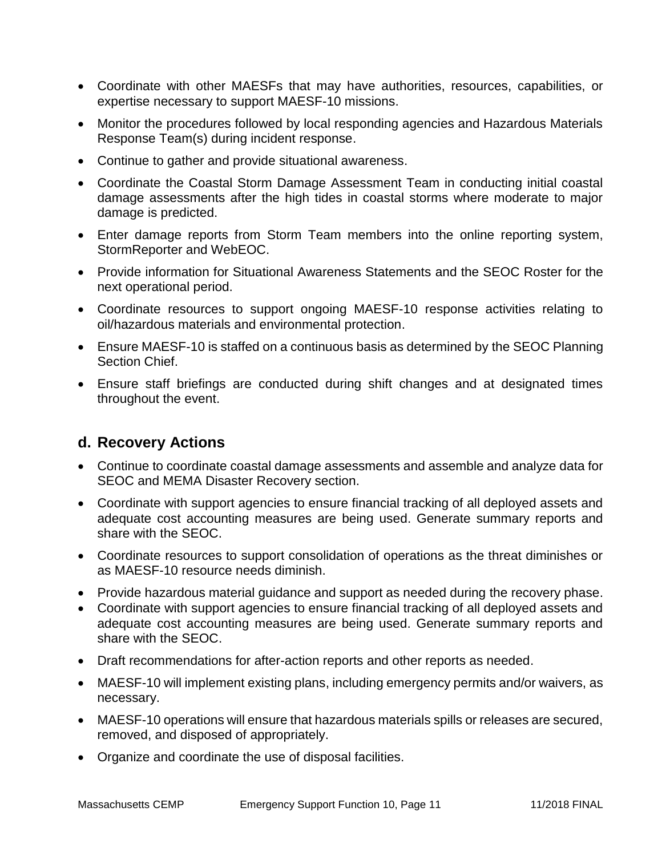- Coordinate with other MAESFs that may have authorities, resources, capabilities, or expertise necessary to support MAESF-10 missions.
- Monitor the procedures followed by local responding agencies and Hazardous Materials Response Team(s) during incident response.
- Continue to gather and provide situational awareness.
- Coordinate the Coastal Storm Damage Assessment Team in conducting initial coastal damage assessments after the high tides in coastal storms where moderate to major damage is predicted.
- Enter damage reports from Storm Team members into the online reporting system, StormReporter and WebEOC.
- Provide information for Situational Awareness Statements and the SEOC Roster for the next operational period.
- Coordinate resources to support ongoing MAESF-10 response activities relating to oil/hazardous materials and environmental protection.
- Ensure MAESF-10 is staffed on a continuous basis as determined by the SEOC Planning Section Chief.
- Ensure staff briefings are conducted during shift changes and at designated times throughout the event.

#### **d. Recovery Actions**

- Continue to coordinate coastal damage assessments and assemble and analyze data for SEOC and MEMA Disaster Recovery section.
- Coordinate with support agencies to ensure financial tracking of all deployed assets and adequate cost accounting measures are being used. Generate summary reports and share with the SEOC.
- Coordinate resources to support consolidation of operations as the threat diminishes or as MAESF-10 resource needs diminish.
- Provide hazardous material guidance and support as needed during the recovery phase.
- Coordinate with support agencies to ensure financial tracking of all deployed assets and adequate cost accounting measures are being used. Generate summary reports and share with the SEOC.
- Draft recommendations for after-action reports and other reports as needed.
- MAESF-10 will implement existing plans, including emergency permits and/or waivers, as necessary.
- MAESF-10 operations will ensure that hazardous materials spills or releases are secured, removed, and disposed of appropriately.
- Organize and coordinate the use of disposal facilities.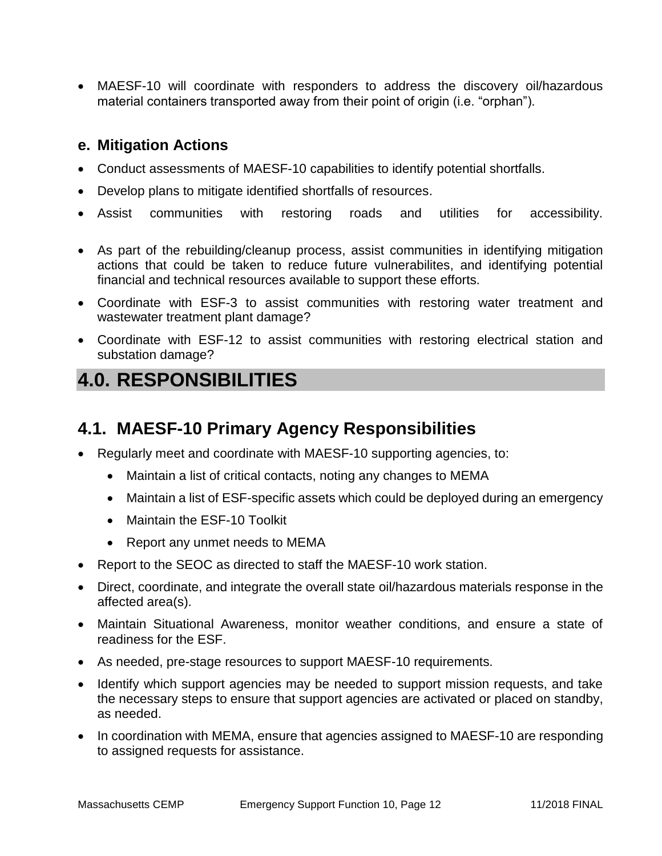MAESF-10 will coordinate with responders to address the discovery oil/hazardous material containers transported away from their point of origin (i.e. "orphan").

#### **e. Mitigation Actions**

- Conduct assessments of MAESF-10 capabilities to identify potential shortfalls.
- Develop plans to mitigate identified shortfalls of resources.
- Assist communities with restoring roads and utilities for accessibility.
- As part of the rebuilding/cleanup process, assist communities in identifying mitigation actions that could be taken to reduce future vulnerabilites, and identifying potential financial and technical resources available to support these efforts.
- Coordinate with ESF-3 to assist communities with restoring water treatment and wastewater treatment plant damage?
- Coordinate with ESF-12 to assist communities with restoring electrical station and substation damage?

# **4.0. RESPONSIBILITIES**

## **4.1. MAESF-10 Primary Agency Responsibilities**

- Regularly meet and coordinate with MAESF-10 supporting agencies, to:
	- Maintain a list of critical contacts, noting any changes to MEMA
	- Maintain a list of ESF-specific assets which could be deployed during an emergency
	- Maintain the FSF-10 Toolkit
	- Report any unmet needs to MEMA
- Report to the SEOC as directed to staff the MAESF-10 work station.
- Direct, coordinate, and integrate the overall state oil/hazardous materials response in the affected area(s).
- Maintain Situational Awareness, monitor weather conditions, and ensure a state of readiness for the ESF.
- As needed, pre-stage resources to support MAESF-10 requirements.
- Identify which support agencies may be needed to support mission requests, and take the necessary steps to ensure that support agencies are activated or placed on standby, as needed.
- In coordination with MEMA, ensure that agencies assigned to MAESF-10 are responding to assigned requests for assistance.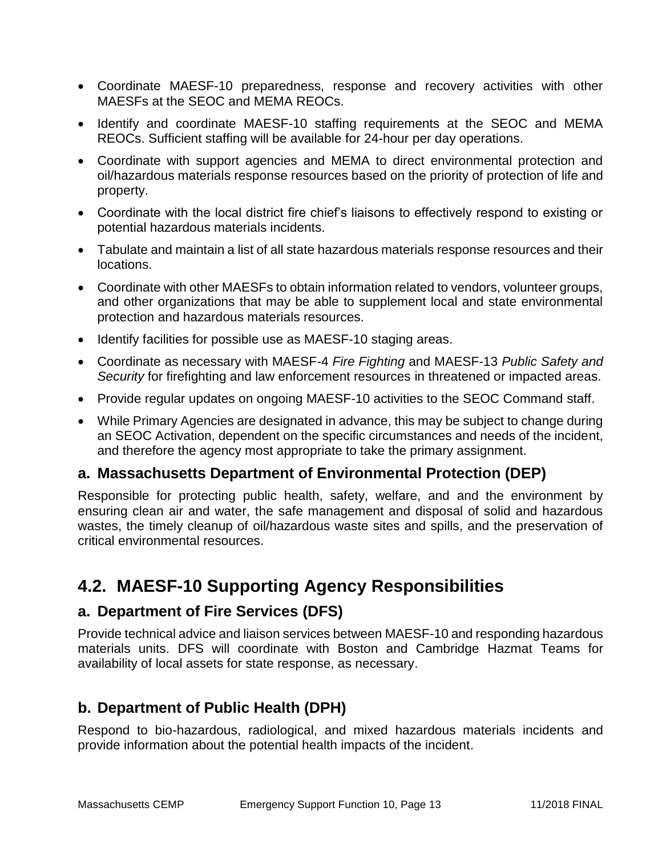- Coordinate MAESF-10 preparedness, response and recovery activities with other MAESFs at the SEOC and MEMA REOCs.
- Identify and coordinate MAESF-10 staffing requirements at the SEOC and MEMA REOCs. Sufficient staffing will be available for 24-hour per day operations.
- Coordinate with support agencies and MEMA to direct environmental protection and oil/hazardous materials response resources based on the priority of protection of life and property.
- Coordinate with the local district fire chief's liaisons to effectively respond to existing or potential hazardous materials incidents.
- Tabulate and maintain a list of all state hazardous materials response resources and their locations.
- Coordinate with other MAESFs to obtain information related to vendors, volunteer groups, and other organizations that may be able to supplement local and state environmental protection and hazardous materials resources.
- Identify facilities for possible use as MAESF-10 staging areas.
- Coordinate as necessary with MAESF-4 *Fire Fighting* and MAESF-13 *Public Safety and Security* for firefighting and law enforcement resources in threatened or impacted areas.
- Provide regular updates on ongoing MAESF-10 activities to the SEOC Command staff.
- While Primary Agencies are designated in advance, this may be subject to change during an SEOC Activation, dependent on the specific circumstances and needs of the incident, and therefore the agency most appropriate to take the primary assignment.

#### **a. Massachusetts Department of Environmental Protection (DEP)**

Responsible for protecting public health, safety, welfare, and and the environment by ensuring clean air and water, the safe management and disposal of solid and hazardous wastes, the timely cleanup of oil/hazardous waste sites and spills, and the preservation of critical environmental resources.

### **4.2. MAESF-10 Supporting Agency Responsibilities**

#### **a. Department of Fire Services (DFS)**

Provide technical advice and liaison services between MAESF-10 and responding hazardous materials units. DFS will coordinate with Boston and Cambridge Hazmat Teams for availability of local assets for state response, as necessary.

#### **b. Department of Public Health (DPH)**

Respond to bio-hazardous, radiological, and mixed hazardous materials incidents and provide information about the potential health impacts of the incident.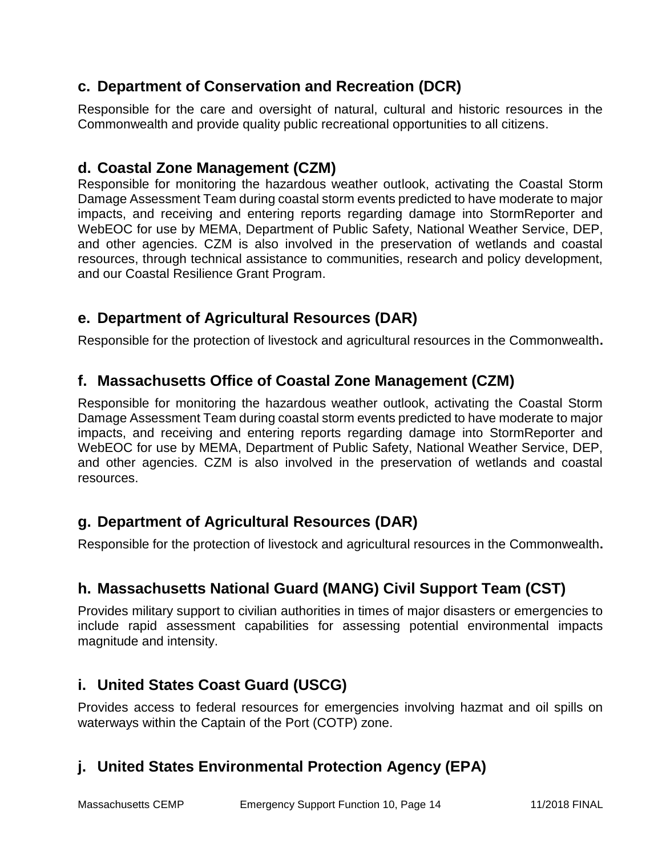### **c. Department of Conservation and Recreation (DCR)**

Responsible for the care and oversight of natural, cultural and historic resources in the Commonwealth and provide quality public recreational opportunities to all citizens.

### **d. Coastal Zone Management (CZM)**

Responsible for monitoring the hazardous weather outlook, activating the Coastal Storm Damage Assessment Team during coastal storm events predicted to have moderate to major impacts, and receiving and entering reports regarding damage into StormReporter and WebEOC for use by MEMA, Department of Public Safety, National Weather Service, DEP, and other agencies. CZM is also involved in the preservation of wetlands and coastal resources, through technical assistance to communities, research and policy development, and our Coastal Resilience Grant Program.

#### **e. Department of Agricultural Resources (DAR)**

Responsible for the protection of livestock and agricultural resources in the Commonwealth**.**

#### **f. Massachusetts Office of Coastal Zone Management (CZM)**

Responsible for monitoring the hazardous weather outlook, activating the Coastal Storm Damage Assessment Team during coastal storm events predicted to have moderate to major impacts, and receiving and entering reports regarding damage into StormReporter and WebEOC for use by MEMA, Department of Public Safety, National Weather Service, DEP, and other agencies. CZM is also involved in the preservation of wetlands and coastal resources.

### **g. Department of Agricultural Resources (DAR)**

Responsible for the protection of livestock and agricultural resources in the Commonwealth**.**

#### **h. Massachusetts National Guard (MANG) Civil Support Team (CST)**

Provides military support to civilian authorities in times of major disasters or emergencies to include rapid assessment capabilities for assessing potential environmental impacts magnitude and intensity.

#### **i. United States Coast Guard (USCG)**

Provides access to federal resources for emergencies involving hazmat and oil spills on waterways within the Captain of the Port (COTP) zone.

### **j. United States Environmental Protection Agency (EPA)**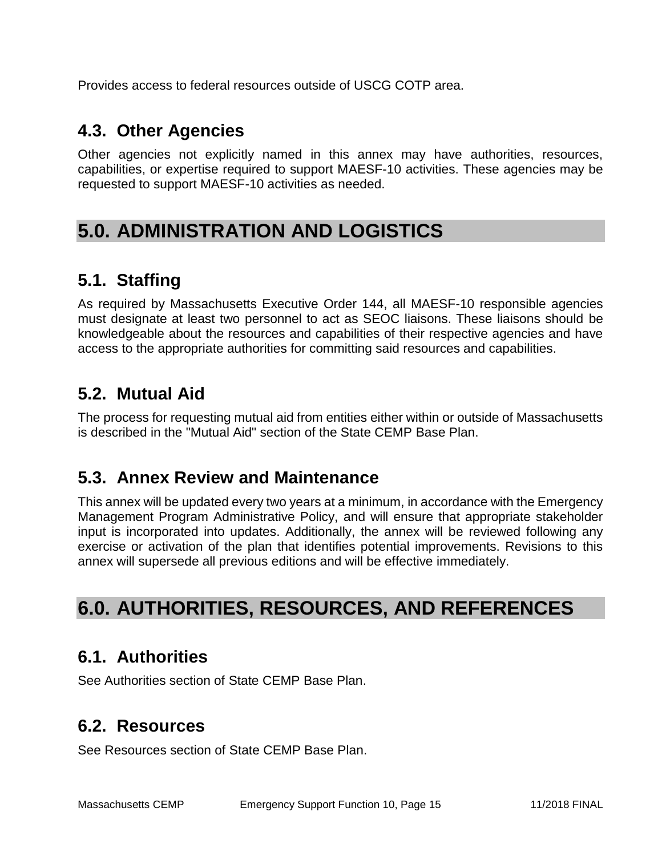Provides access to federal resources outside of USCG COTP area.

## **4.3. Other Agencies**

Other agencies not explicitly named in this annex may have authorities, resources, capabilities, or expertise required to support MAESF-10 activities. These agencies may be requested to support MAESF-10 activities as needed.

# **5.0. ADMINISTRATION AND LOGISTICS**

# **5.1. Staffing**

As required by Massachusetts Executive Order 144, all MAESF-10 responsible agencies must designate at least two personnel to act as SEOC liaisons. These liaisons should be knowledgeable about the resources and capabilities of their respective agencies and have access to the appropriate authorities for committing said resources and capabilities.

# **5.2. Mutual Aid**

The process for requesting mutual aid from entities either within or outside of Massachusetts is described in the "Mutual Aid" section of the State CEMP Base Plan.

## **5.3. Annex Review and Maintenance**

This annex will be updated every two years at a minimum, in accordance with the Emergency Management Program Administrative Policy, and will ensure that appropriate stakeholder input is incorporated into updates. Additionally, the annex will be reviewed following any exercise or activation of the plan that identifies potential improvements. Revisions to this annex will supersede all previous editions and will be effective immediately.

# **6.0. AUTHORITIES, RESOURCES, AND REFERENCES**

## **6.1. Authorities**

See Authorities section of State CEMP Base Plan.

### **6.2. Resources**

See Resources section of State CEMP Base Plan.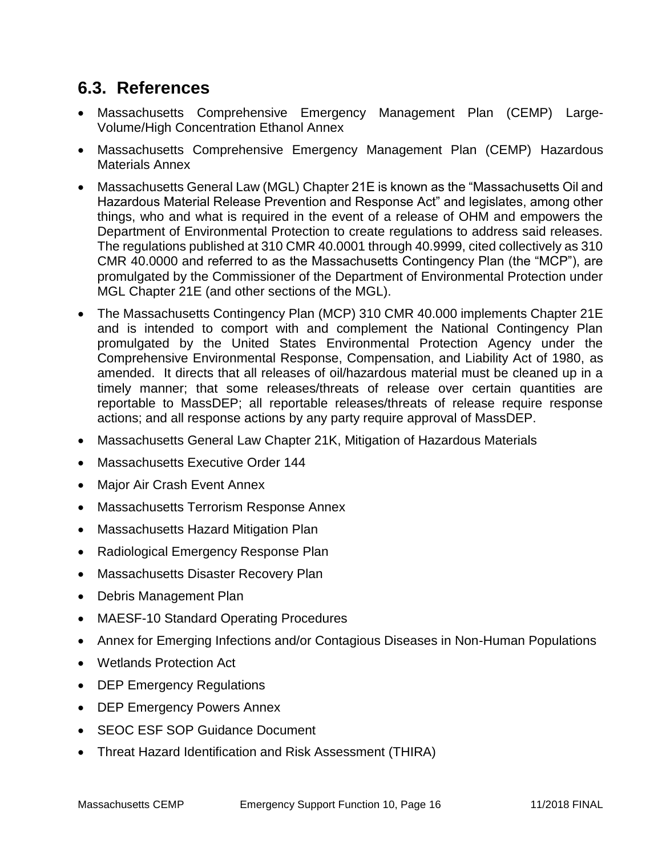# **6.3. References**

- Massachusetts Comprehensive Emergency Management Plan (CEMP) Large-Volume/High Concentration Ethanol Annex
- Massachusetts Comprehensive Emergency Management Plan (CEMP) Hazardous Materials Annex
- Massachusetts General Law (MGL) Chapter 21E is known as the "Massachusetts Oil and Hazardous Material Release Prevention and Response Act" and legislates, among other things, who and what is required in the event of a release of OHM and empowers the Department of Environmental Protection to create regulations to address said releases. The regulations published at 310 CMR 40.0001 through 40.9999, cited collectively as 310 CMR 40.0000 and referred to as the Massachusetts Contingency Plan (the "MCP"), are promulgated by the Commissioner of the Department of Environmental Protection under MGL Chapter 21E (and other sections of the MGL).
- The Massachusetts Contingency Plan (MCP) 310 CMR 40.000 implements Chapter 21E and is intended to comport with and complement the National Contingency Plan promulgated by the United States Environmental Protection Agency under the Comprehensive Environmental Response, Compensation, and Liability Act of 1980, as amended. It directs that all releases of oil/hazardous material must be cleaned up in a timely manner; that some releases/threats of release over certain quantities are reportable to MassDEP; all reportable releases/threats of release require response actions; and all response actions by any party require approval of MassDEP.
- Massachusetts General Law Chapter 21K, Mitigation of Hazardous Materials
- Massachusetts Executive Order 144
- Major Air Crash Event Annex
- Massachusetts Terrorism Response Annex
- Massachusetts Hazard Mitigation Plan
- Radiological Emergency Response Plan
- Massachusetts Disaster Recovery Plan
- Debris Management Plan
- MAESF-10 Standard Operating Procedures
- Annex for Emerging Infections and/or Contagious Diseases in Non-Human Populations
- Wetlands Protection Act
- DEP Emergency Regulations
- DEP Emergency Powers Annex
- SEOC ESF SOP Guidance Document
- Threat Hazard Identification and Risk Assessment (THIRA)